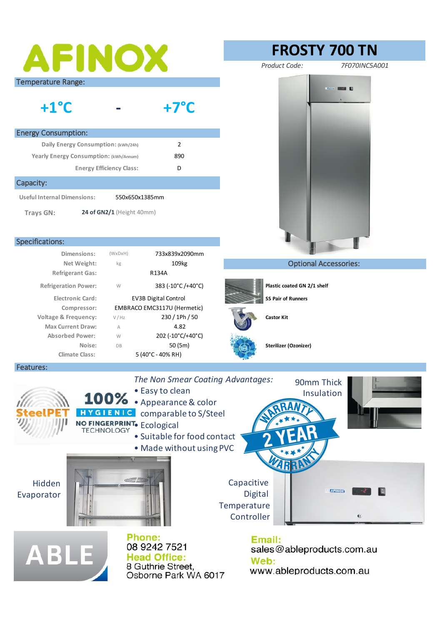| AFINOX                                                                                                                                                                                                                                    | <b>FROSTY 700 TN</b>                                                            |
|-------------------------------------------------------------------------------------------------------------------------------------------------------------------------------------------------------------------------------------------|---------------------------------------------------------------------------------|
|                                                                                                                                                                                                                                           | Product Code:<br>7F070INC5A001                                                  |
| <b>Temperature Range:</b><br>$+1^{\circ}C$<br>$+7^{\circ}$ C                                                                                                                                                                              |                                                                                 |
| <b>Energy Consumption:</b>                                                                                                                                                                                                                |                                                                                 |
| 2<br>Daily Energy Consumption: (kWh/24h)                                                                                                                                                                                                  |                                                                                 |
| Yearly Energy Consumption: (kWh/Annum)<br>890                                                                                                                                                                                             |                                                                                 |
| D<br><b>Energy Efficiency Class:</b>                                                                                                                                                                                                      |                                                                                 |
| Capacity:                                                                                                                                                                                                                                 |                                                                                 |
| <b>Useful Internal Dimensions:</b><br>550x650x1385mm                                                                                                                                                                                      |                                                                                 |
| 24 of GN2/1 (Height 40mm)<br>Trays GN:                                                                                                                                                                                                    |                                                                                 |
| Specifications:                                                                                                                                                                                                                           |                                                                                 |
| Dimensions:<br>$(W \times D \times H)$<br>733x839x2090mm                                                                                                                                                                                  |                                                                                 |
| Net Weight:<br>109 <sub>kg</sub><br>kg                                                                                                                                                                                                    | <b>Optional Accessories:</b>                                                    |
| <b>Refrigerant Gas:</b><br>R134A                                                                                                                                                                                                          |                                                                                 |
| <b>Refrigeration Power:</b><br>W<br>383 (-10°C/+40°C)                                                                                                                                                                                     | Plastic coated GN 2/1 shelf                                                     |
| <b>Electronic Card:</b><br><b>EV3B Digital Control</b>                                                                                                                                                                                    | <b>SS Pair of Runners</b>                                                       |
| Compressor:<br>EMBRACO EMC3117U (Hermetic)<br>230 / 1Ph / 50<br><b>Voltage &amp; Frequency:</b><br>V / Hz                                                                                                                                 | <b>Castor Kit</b>                                                               |
| 4.82<br><b>Max Current Draw:</b><br>A                                                                                                                                                                                                     |                                                                                 |
| 202 (-10°C/+40°C)<br><b>Absorbed Power:</b><br>W                                                                                                                                                                                          |                                                                                 |
| 50 (5m)<br>Noise:<br>DB                                                                                                                                                                                                                   | Sterilizer (Ozonizer)                                                           |
| <b>Climate Class:</b><br>5 (40°C - 40% RH)<br>Features:                                                                                                                                                                                   |                                                                                 |
| The Non Smear Coating Advantages:<br>90mm Thick<br>• Easy to clean<br>Insulation<br>100% Appearance & color<br>HYGIENIC<br>comparable to S/Steel<br>NO FINGERPRINT. Ecological<br>· Suitable for food contact<br>. Made without using PVC |                                                                                 |
| Citics for<br>Hidden<br>Evaporator                                                                                                                                                                                                        | Capacitive<br><b>AFINOX</b><br><b>Digital</b><br>Temperature<br>Controller<br>C |
| <b>Phone:</b><br>08 9242 7521<br><b>ABLE</b><br><b>Head Office:</b><br>8 Guthrie Street,<br>Osborne Park WA 6017                                                                                                                          | Email:<br>sales@ableproducts.com.au<br>Web:<br>www.ableproducts.com.au          |